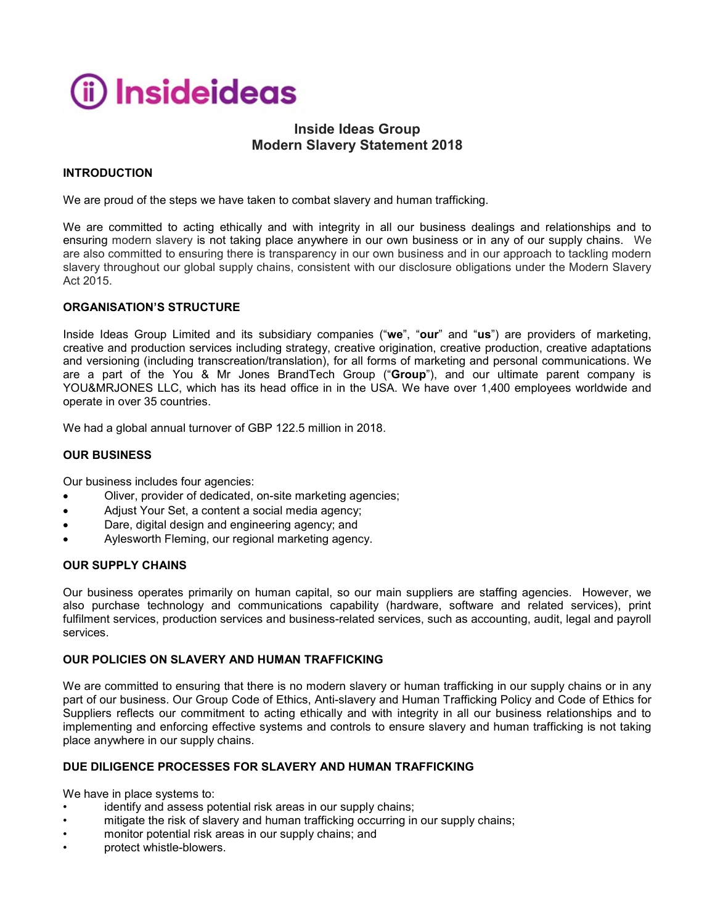

# **Inside Ideas Group Modern Slavery Statement 2018**

## **INTRODUCTION**

We are proud of the steps we have taken to combat slavery and human trafficking.

We are committed to acting ethically and with integrity in all our business dealings and relationships and to ensuring modern slavery is not taking place anywhere in our own business or in any of our supply chains. We are also committed to ensuring there is transparency in our own business and in our approach to tackling modern slavery throughout our global supply chains, consistent with our disclosure obligations under the Modern Slavery Act 2015.

## **ORGANISATION'S STRUCTURE**

Inside Ideas Group Limited and its subsidiary companies ("**we**", "**our**" and "**us**") are providers of marketing, creative and production services including strategy, creative origination, creative production, creative adaptations and versioning (including transcreation/translation), for all forms of marketing and personal communications. We are a part of the You & Mr Jones BrandTech Group ("**Group**"), and our ultimate parent company is YOU&MRJONES LLC, which has its head office in in the USA. We have over 1,400 employees worldwide and operate in over 35 countries.

We had a global annual turnover of GBP 122.5 million in 2018.

## **OUR BUSINESS**

Our business includes four agencies:

- Oliver, provider of dedicated, on-site marketing agencies;
- Adjust Your Set, a content a social media agency;
- Dare, digital design and engineering agency; and
- Aylesworth Fleming, our regional marketing agency.

### **OUR SUPPLY CHAINS**

Our business operates primarily on human capital, so our main suppliers are staffing agencies. However, we also purchase technology and communications capability (hardware, software and related services), print fulfilment services, production services and business-related services, such as accounting, audit, legal and payroll services.

#### **OUR POLICIES ON SLAVERY AND HUMAN TRAFFICKING**

We are committed to ensuring that there is no modern slavery or human trafficking in our supply chains or in any part of our business. Our Group Code of Ethics, Anti-slavery and Human Trafficking Policy and Code of Ethics for Suppliers reflects our commitment to acting ethically and with integrity in all our business relationships and to implementing and enforcing effective systems and controls to ensure slavery and human trafficking is not taking place anywhere in our supply chains.

## **DUE DILIGENCE PROCESSES FOR SLAVERY AND HUMAN TRAFFICKING**

We have in place systems to:

- identify and assess potential risk areas in our supply chains;
- mitigate the risk of slavery and human trafficking occurring in our supply chains;
- monitor potential risk areas in our supply chains; and
- protect whistle-blowers.